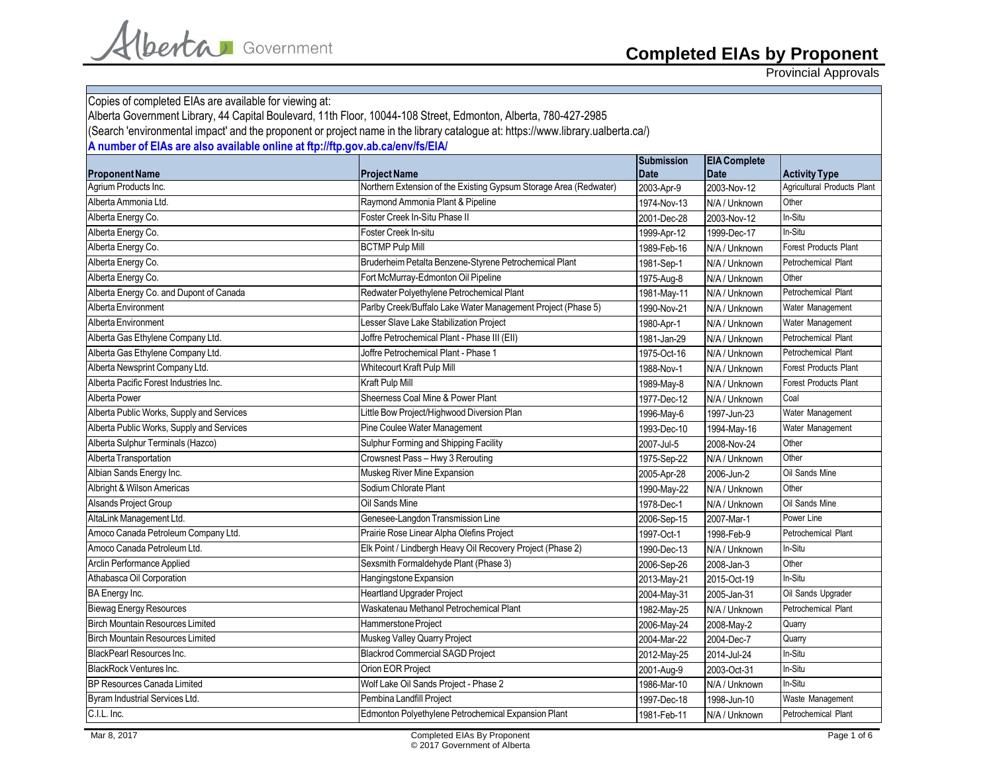Provincial Approvals

| Copies of completed EIAs are available for viewing at:                                                                          |                                                                   |                  |                     |                             |
|---------------------------------------------------------------------------------------------------------------------------------|-------------------------------------------------------------------|------------------|---------------------|-----------------------------|
| Alberta Government Library, 44 Capital Boulevard, 11th Floor, 10044-108 Street, Edmonton, Alberta, 780-427-2985                 |                                                                   |                  |                     |                             |
| (Search 'environmental impact' and the proponent or project name in the library catalogue at: https://www.library.ualberta.ca/) |                                                                   |                  |                     |                             |
| A number of EIAs are also available online at ftp://ftp.gov.ab.ca/env/fs/EIA/                                                   |                                                                   |                  |                     |                             |
|                                                                                                                                 |                                                                   | Submission       | <b>EIA Complete</b> |                             |
| <b>Proponent Name</b>                                                                                                           | <b>Project Name</b>                                               | <b>Date</b>      | <b>Date</b>         | <b>Activity Type</b>        |
| Agrium Products Inc.                                                                                                            | Northern Extension of the Existing Gypsum Storage Area (Redwater) | 2003-Apr-9       | 2003-Nov-12         | Agricultural Products Plant |
| Alberta Ammonia Ltd.                                                                                                            | Raymond Ammonia Plant & Pipeline                                  | 1974-Nov-13      | N/A / Unknown       | Other                       |
| Alberta Energy Co.                                                                                                              | Foster Creek In-Situ Phase II                                     | 2001-Dec-28      | 2003-Nov-12         | In-Situ                     |
| Alberta Energy Co.                                                                                                              | Foster Creek In-situ                                              | 1999-Apr-12      | 1999-Dec-17         | In-Situ                     |
| Alberta Energy Co.                                                                                                              | <b>BCTMP Pulp Mill</b>                                            | 1989-Feb-16      | N/A / Unknown       | Forest Products Plant       |
| Alberta Energy Co.                                                                                                              | Bruderheim Petalta Benzene-Styrene Petrochemical Plant            | 1981-Sep-1       | N/A / Unknown       | Petrochemical Plant         |
| Alberta Energy Co.                                                                                                              | Fort McMurray-Edmonton Oil Pipeline                               | 1975-Aug-8       | N/A / Unknown       | Other                       |
| Alberta Energy Co. and Dupont of Canada                                                                                         | Redwater Polyethylene Petrochemical Plant                         | 1981-May-11      | N/A / Unknown       | Petrochemical Plant         |
| Alberta Environment                                                                                                             | Parlby Creek/Buffalo Lake Water Management Project (Phase 5)      | 1990-Nov-21      | N/A / Unknown       | Water Management            |
| Alberta Environment                                                                                                             | Lesser Slave Lake Stabilization Project                           | 1980-Apr-1       | N/A / Unknown       | Water Management            |
| Alberta Gas Ethylene Company Ltd.                                                                                               | Joffre Petrochemical Plant - Phase III (EII)                      | 1981-Jan-29      | N/A / Unknown       | Petrochemical Plant         |
| Alberta Gas Ethylene Company Ltd.                                                                                               | Joffre Petrochemical Plant - Phase 1                              | 1975-Oct-16      | N/A / Unknown       | Petrochemical Plant         |
| Alberta Newsprint Company Ltd.                                                                                                  | <b>Whitecourt Kraft Pulp Mill</b>                                 | 1988-Nov-1       | N/A / Unknown       | Forest Products Plant       |
| Alberta Pacific Forest Industries Inc.                                                                                          | Kraft Pulp Mill                                                   | 1989-May-8       | N/A / Unknown       | Forest Products Plant       |
| Alberta Power                                                                                                                   | Sheerness Coal Mine & Power Plant                                 | _<br>1977-Dec-12 | N/A / Unknown       | Coal                        |
| Alberta Public Works, Supply and Services                                                                                       | Little Bow Project/Highwood Diversion Plan                        | 1996-May-6       | 1997-Jun-23         | Water Management            |
| Alberta Public Works, Supply and Services                                                                                       | Pine Coulee Water Management                                      | 1993-Dec-10      | 1994-May-16         | Water Management            |
| Alberta Sulphur Terminals (Hazco)                                                                                               | Sulphur Forming and Shipping Facility                             | 2007-Jul-5       | 2008-Nov-24         | Other                       |
| Alberta Transportation                                                                                                          | Crowsnest Pass - Hwy 3 Rerouting                                  | 1975-Sep-22      | N/A / Unknown       | Other                       |
| Albian Sands Energy Inc.                                                                                                        | Muskeg River Mine Expansion                                       | 2005-Apr-28      | 2006-Jun-2          | Oil Sands Mine              |
| Albright & Wilson Americas                                                                                                      | Sodium Chlorate Plant                                             | 1990-May-22      | N/A / Unknown       | Other                       |
| <b>Alsands Project Group</b>                                                                                                    | Oil Sands Mine                                                    | 1978-Dec-1       | N/A / Unknown       | Oil Sands Mine              |
| AltaLink Management Ltd.                                                                                                        | Genesee-Langdon Transmission Line                                 | 2006-Sep-15      | 2007-Mar-1          | Power Line                  |
| Amoco Canada Petroleum Company Ltd.                                                                                             | Prairie Rose Linear Alpha Olefins Project                         | 1997-Oct-1       | 1998-Feb-9          | Petrochemical Plant         |
| Amoco Canada Petroleum Ltd.                                                                                                     | Elk Point / Lindbergh Heavy Oil Recovery Project (Phase 2)        | 1990-Dec-13      | N/A / Unknown       | In-Situ                     |
| Arclin Performance Applied                                                                                                      | Sexsmith Formaldehyde Plant (Phase 3)                             | 2006-Sep-26      | 2008-Jan-3          | Other                       |
| Athabasca Oil Corporation                                                                                                       | Hangingstone Expansion                                            | 2013-May-21      | 2015-Oct-19         | In-Situ                     |
| BA Energy Inc.                                                                                                                  | <b>Heartland Upgrader Project</b>                                 | 2004-May-31      | 2005-Jan-31         | Oil Sands Upgrader          |
| <b>Biewag Energy Resources</b>                                                                                                  | Waskatenau Methanol Petrochemical Plant                           | 1982-May-25      | N/A / Unknown       | Petrochemical Plant         |
| <b>Birch Mountain Resources Limited</b>                                                                                         | Hammerstone Project                                               | 2006-May-24      | 2008-May-2          | Quarry                      |
| <b>Birch Mountain Resources Limited</b>                                                                                         | Muskeg Valley Quarry Project                                      | 2004-Mar-22      | 2004-Dec-7          | Quarry                      |
| <b>BlackPearl Resources Inc.</b>                                                                                                | <b>Blackrod Commercial SAGD Project</b>                           | 2012-May-25      | 2014-Jul-24         | In-Situ                     |
| <b>BlackRock Ventures Inc.</b>                                                                                                  | Orion EOR Project                                                 | 2001-Aug-9       | 2003-Oct-31         | In-Situ                     |
| <b>BP Resources Canada Limited</b>                                                                                              | Wolf Lake Oil Sands Project - Phase 2                             | 1986-Mar-10      | N/A / Unknown       | In-Situ                     |
| Byram Industrial Services Ltd.                                                                                                  | Pembina Landfill Project                                          | 1997-Dec-18      | 1998-Jun-10         | Waste Management            |
| C.I.L. Inc.                                                                                                                     | Edmonton Polyethylene Petrochemical Expansion Plant               | 1981-Feb-11      | N/A / Unknown       | Petrochemical Plant         |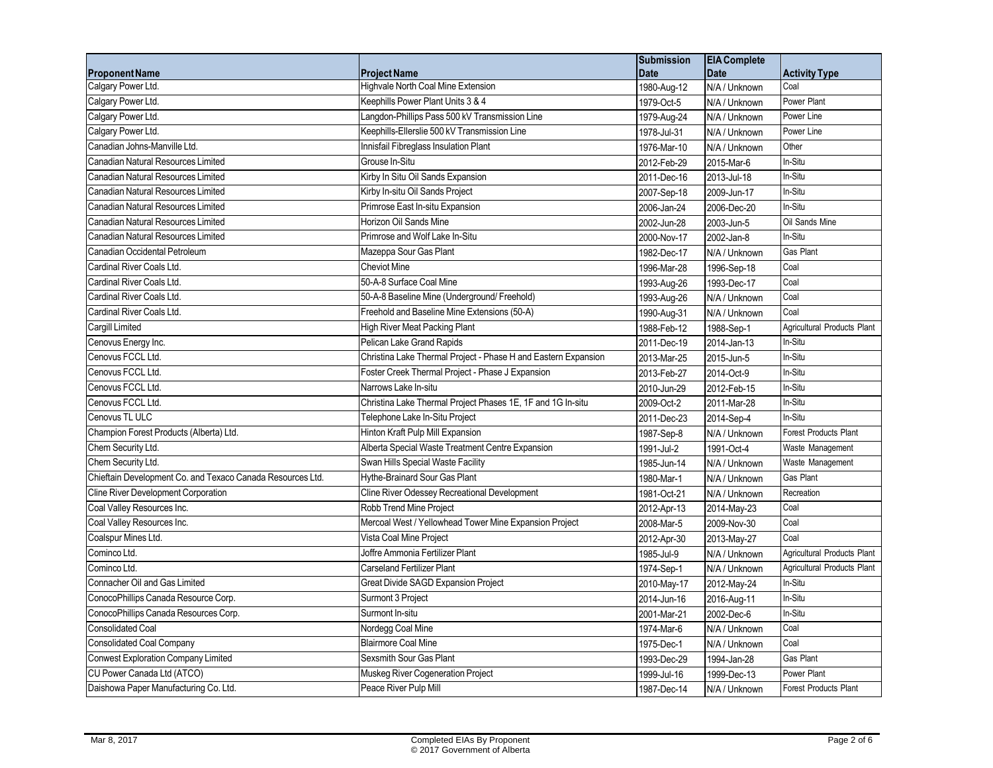|                                                            |                                                                | <b>Submission</b> | <b>EIA</b> Complete |                                    |
|------------------------------------------------------------|----------------------------------------------------------------|-------------------|---------------------|------------------------------------|
| <b>Proponent Name</b>                                      | <b>Project Name</b>                                            | <b>Date</b>       | <b>Date</b>         | <b>Activity Type</b>               |
| Calgary Power Ltd.                                         | Highvale North Coal Mine Extension                             | 1980-Aug-12       | N/A / Unknown       | Coal                               |
| Calgary Power Ltd.                                         | Keephills Power Plant Units 3 & 4                              | 1979-Oct-5        | N/A / Unknown       | Power Plant                        |
| Calgary Power Ltd.                                         | Langdon-Phillips Pass 500 kV Transmission Line                 | 1979-Aug-24       | N/A / Unknown       | Power Line                         |
| Calgary Power Ltd.                                         | Keephills-Ellerslie 500 kV Transmission Line                   | 1978-Jul-31       | N/A / Unknown       | Power Line                         |
| Canadian Johns-Manville Ltd.                               | Innisfail Fibreglass Insulation Plant                          | 1976-Mar-10       | N/A / Unknown       | Other                              |
| Canadian Natural Resources Limited                         | Grouse In-Situ                                                 | 2012-Feb-29       | 2015-Mar-6          | In-Situ                            |
| Canadian Natural Resources Limited                         | Kirby In Situ Oil Sands Expansion                              | 2011-Dec-16       | 2013-Jul-18         | In-Situ                            |
| Canadian Natural Resources Limited                         | Kirby In-situ Oil Sands Project                                | 2007-Sep-18       | 2009-Jun-17         | In-Situ                            |
| Canadian Natural Resources Limited                         | Primrose East In-situ Expansion                                | 2006-Jan-24       | 2006-Dec-20         | In-Situ                            |
| Canadian Natural Resources Limited                         | Horizon Oil Sands Mine                                         | 2002-Jun-28       | 2003-Jun-5          | Oil Sands Mine                     |
| Canadian Natural Resources Limited                         | Primrose and Wolf Lake In-Situ                                 | 2000-Nov-17       | 2002-Jan-8          | In-Situ                            |
| Canadian Occidental Petroleum                              | Mazeppa Sour Gas Plant                                         | 1982-Dec-17       | N/A / Unknown       | Gas Plant                          |
| Cardinal River Coals Ltd.                                  | <b>Cheviot Mine</b>                                            | 1996-Mar-28       | 1996-Sep-18         | Coal                               |
| Cardinal River Coals Ltd.                                  | 50-A-8 Surface Coal Mine                                       | 1993-Aug-26       | 1993-Dec-17         | Coal                               |
| Cardinal River Coals Ltd.                                  | 50-A-8 Baseline Mine (Underground/ Freehold)                   | 1993-Aug-26       | N/A / Unknown       | Coal                               |
| Cardinal River Coals Ltd.                                  | Freehold and Baseline Mine Extensions (50-A)                   | 1990-Aug-31       | N/A / Unknown       | Coal                               |
| <b>Cargill Limited</b>                                     | High River Meat Packing Plant                                  | 1988-Feb-12       | 1988-Sep-1          | <b>Agricultural Products Plant</b> |
| Cenovus Energy Inc.                                        | Pelican Lake Grand Rapids                                      | 2011-Dec-19       | 2014-Jan-13         | In-Situ                            |
| Cenovus FCCL Ltd.                                          | Christina Lake Thermal Project - Phase H and Eastern Expansion | 2013-Mar-25       | 2015-Jun-5          | In-Situ                            |
| Cenovus FCCL Ltd.                                          | Foster Creek Thermal Project - Phase J Expansion               | 2013-Feb-27       | 2014-Oct-9          | In-Situ                            |
| Cenovus FCCL Ltd.                                          | Narrows Lake In-situ                                           | 2010-Jun-29       | 2012-Feb-15         | In-Situ                            |
| Cenovus FCCL Ltd.                                          | Christina Lake Thermal Project Phases 1E, 1F and 1G In-situ    | 2009-Oct-2        | 2011-Mar-28         | In-Situ                            |
| Cenovus TL ULC                                             | Telephone Lake In-Situ Project                                 | 2011-Dec-23       | 2014-Sep-4          | In-Situ                            |
| Champion Forest Products (Alberta) Ltd.                    | Hinton Kraft Pulp Mill Expansion                               | 1987-Sep-8        | N/A / Unknown       | <b>Forest Products Plant</b>       |
| Chem Security Ltd.                                         | Alberta Special Waste Treatment Centre Expansion               | 1991-Jul-2        | 1991-Oct-4          | Waste Management                   |
| Chem Security Ltd.                                         | Swan Hills Special Waste Facility                              | 1985-Jun-14       | N/A / Unknown       | Waste Management                   |
| Chieftain Development Co. and Texaco Canada Resources Ltd. | Hythe-Brainard Sour Gas Plant                                  | 1980-Mar-1        | N/A / Unknown       | Gas Plant                          |
| Cline River Development Corporation                        | Cline River Odessey Recreational Development                   | 1981-Oct-21       | N/A / Unknown       | Recreation                         |
| Coal Valley Resources Inc.                                 | Robb Trend Mine Project                                        | 2012-Apr-13       | 2014-May-23         | Coal                               |
| Coal Valley Resources Inc.                                 | Mercoal West / Yellowhead Tower Mine Expansion Project         | 2008-Mar-5        | 2009-Nov-30         | Coal                               |
| Coalspur Mines Ltd.                                        | Vista Coal Mine Project                                        | 2012-Apr-30       | 2013-May-27         | Coal                               |
| Cominco Ltd.                                               | Joffre Ammonia Fertilizer Plant                                | 1985-Jul-9        | N/A / Unknown       | Agricultural Products Plant        |
| Cominco Ltd.                                               | <b>Carseland Fertilizer Plant</b>                              | 1974-Sep-1        | N/A / Unknown       | Agricultural Products Plant        |
| Connacher Oil and Gas Limited                              | Great Divide SAGD Expansion Project                            | 2010-May-17       | 2012-May-24         | In-Situ                            |
| ConocoPhillips Canada Resource Corp.                       | Surmont 3 Project                                              | 2014-Jun-16       | 2016-Aug-11         | In-Situ                            |
| ConocoPhillips Canada Resources Corp.                      | Surmont In-situ                                                | 2001-Mar-21       | 2002-Dec-6          | In-Situ                            |
| <b>Consolidated Coal</b>                                   | Nordegg Coal Mine                                              | 1974-Mar-6        | N/A / Unknown       | Coal                               |
| <b>Consolidated Coal Company</b>                           | <b>Blairmore Coal Mine</b>                                     | 1975-Dec-1        | N/A / Unknown       | Coal                               |
| <b>Conwest Exploration Company Limited</b>                 | Sexsmith Sour Gas Plant                                        | 1993-Dec-29       | 1994-Jan-28         | Gas Plant                          |
| CU Power Canada Ltd (ATCO)                                 | Muskeg River Cogeneration Project                              | 1999-Jul-16       | 1999-Dec-13         | Power Plant                        |
| Daishowa Paper Manufacturing Co. Ltd.                      | Peace River Pulp Mill                                          | 1987-Dec-14       | N/A / Unknown       | <b>Forest Products Plant</b>       |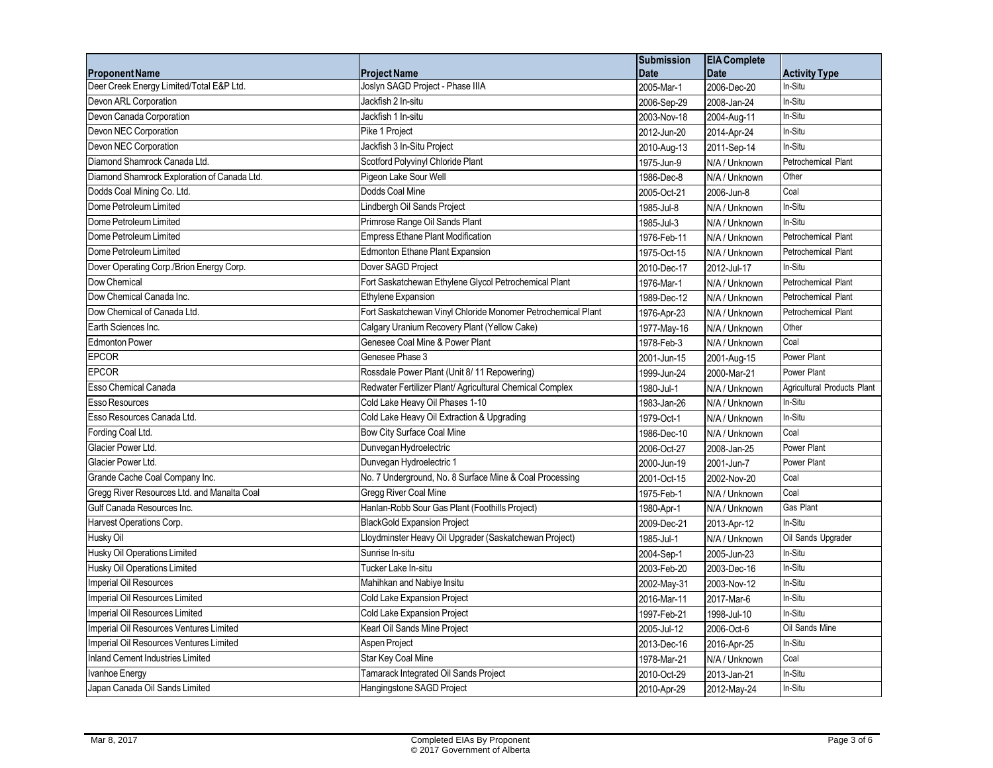|                                             |                                                              | <b>Submission</b> | <b>EIA</b> Complete |                             |
|---------------------------------------------|--------------------------------------------------------------|-------------------|---------------------|-----------------------------|
| <b>Proponent Name</b>                       | <b>Project Name</b>                                          | <b>Date</b>       | <b>Date</b>         | <b>Activity Type</b>        |
| Deer Creek Energy Limited/Total E&P Ltd.    | Joslyn SAGD Project - Phase IIIA                             | 2005-Mar-1        | 2006-Dec-20         | In-Situ                     |
| Devon ARL Corporation                       | Jackfish 2 In-situ                                           | 2006-Sep-29       | 2008-Jan-24         | In-Situ                     |
| Devon Canada Corporation                    | Jackfish 1 In-situ                                           | 2003-Nov-18       | 2004-Aug-11         | In-Situ                     |
| Devon NEC Corporation                       | Pike 1 Project                                               | 2012-Jun-20       | 2014-Apr-24         | In-Situ                     |
| Devon NEC Corporation                       | Jackfish 3 In-Situ Project                                   | 2010-Aug-13       | 2011-Sep-14         | In-Situ                     |
| Diamond Shamrock Canada Ltd.                | Scotford Polyvinyl Chloride Plant                            | 1975-Jun-9        | N/A / Unknown       | Petrochemical Plant         |
| Diamond Shamrock Exploration of Canada Ltd. | Pigeon Lake Sour Well                                        | 1986-Dec-8        | N/A / Unknown       | Other                       |
| Dodds Coal Mining Co. Ltd.                  | Dodds Coal Mine                                              | 2005-Oct-21       | 2006-Jun-8          | Coal                        |
| Dome Petroleum Limited                      | Lindbergh Oil Sands Project                                  | 1985-Jul-8        | N/A / Unknown       | In-Situ                     |
| Dome Petroleum Limited                      | Primrose Range Oil Sands Plant                               | 1985-Jul-3        | N/A / Unknown       | In-Situ                     |
| Dome Petroleum Limited                      | <b>Empress Ethane Plant Modification</b>                     | 1976-Feb-11       | N/A / Unknown       | Petrochemical Plant         |
| Dome Petroleum Limited                      | Edmonton Ethane Plant Expansion                              | 1975-Oct-15       | N/A / Unknown       | Petrochemical Plant         |
| Dover Operating Corp./Brion Energy Corp.    | Dover SAGD Project                                           | 2010-Dec-17       | 2012-Jul-17         | In-Situ                     |
| Dow Chemical                                | Fort Saskatchewan Ethylene Glycol Petrochemical Plant        | 1976-Mar-1        | N/A / Unknown       | Petrochemical Plant         |
| Dow Chemical Canada Inc.                    | Ethylene Expansion                                           | 1989-Dec-12       | N/A / Unknown       | Petrochemical Plant         |
| Dow Chemical of Canada Ltd.                 | Fort Saskatchewan Vinyl Chloride Monomer Petrochemical Plant | 1976-Apr-23       | N/A / Unknown       | Petrochemical Plant         |
| Earth Sciences Inc.                         | Calgary Uranium Recovery Plant (Yellow Cake)                 | 1977-May-16       | N/A / Unknown       | Other                       |
| <b>Edmonton Power</b>                       | Genesee Coal Mine & Power Plant                              | 1978-Feb-3        | N/A / Unknown       | Coal                        |
| <b>EPCOR</b>                                | Genesee Phase 3                                              | 2001-Jun-15       | 2001-Aug-15         | Power Plant                 |
| <b>EPCOR</b>                                | Rossdale Power Plant (Unit 8/11 Repowering)                  | 1999-Jun-24       | 2000-Mar-21         | Power Plant                 |
| <b>Esso Chemical Canada</b>                 | Redwater Fertilizer Plant/ Agricultural Chemical Complex     | 1980-Jul-1        | N/A / Unknown       | Agricultural Products Plant |
| Esso Resources                              | Cold Lake Heavy Oil Phases 1-10                              | 1983-Jan-26       | N/A / Unknown       | In-Situ                     |
| Esso Resources Canada Ltd.                  | Cold Lake Heavy Oil Extraction & Upgrading                   | 1979-Oct-1        | N/A / Unknown       | In-Situ                     |
| Fording Coal Ltd.                           | Bow City Surface Coal Mine                                   | 1986-Dec-10       | N/A / Unknown       | Coal                        |
| Glacier Power Ltd.                          | Dunvegan Hydroelectric                                       | 2006-Oct-27       | 2008-Jan-25         | Power Plant                 |
| Glacier Power Ltd.                          | Dunvegan Hydroelectric 1                                     | 2000-Jun-19       | 2001-Jun-7          | Power Plant                 |
| Grande Cache Coal Company Inc.              | No. 7 Underground, No. 8 Surface Mine & Coal Processing      | 2001-Oct-15       | 2002-Nov-20         | Coal                        |
| Gregg River Resources Ltd. and Manalta Coal | <b>Gregg River Coal Mine</b>                                 | 1975-Feb-1        | N/A / Unknown       | Coal                        |
| Gulf Canada Resources Inc.                  | Hanlan-Robb Sour Gas Plant (Foothills Project)               | 1980-Apr-1        | N/A / Unknown       | Gas Plant                   |
| Harvest Operations Corp.                    | <b>BlackGold Expansion Project</b>                           | 2009-Dec-21       | 2013-Apr-12         | In-Situ                     |
| Husky Oil                                   | Lloydminster Heavy Oil Upgrader (Saskatchewan Project)       | 1985-Jul-1        | N/A / Unknown       | Oil Sands Upgrader          |
| Husky Oil Operations Limited                | Sunrise In-situ                                              | 2004-Sep-1        | 2005-Jun-23         | In-Situ                     |
| Husky Oil Operations Limited                | Tucker Lake In-situ                                          | 2003-Feb-20       | 2003-Dec-16         | In-Situ                     |
| <b>Imperial Oil Resources</b>               | Mahihkan and Nabiye Insitu                                   | 2002-May-31       | 2003-Nov-12         | In-Situ                     |
| Imperial Oil Resources Limited              | Cold Lake Expansion Project                                  | 2016-Mar-11       | 2017-Mar-6          | In-Situ                     |
| Imperial Oil Resources Limited              | Cold Lake Expansion Project                                  | 1997-Feb-21       | 1998-Jul-10         | In-Situ                     |
| Imperial Oil Resources Ventures Limited     | Kearl Oil Sands Mine Project                                 | 2005-Jul-12       | 2006-Oct-6          | Oil Sands Mine              |
| Imperial Oil Resources Ventures Limited     | Aspen Project                                                | 2013-Dec-16       | 2016-Apr-25         | In-Situ                     |
| Inland Cement Industries Limited            | Star Key Coal Mine                                           | 1978-Mar-21       | N/A / Unknown       | Coal                        |
| Ivanhoe Energy                              | Tamarack Integrated Oil Sands Project                        | 2010-Oct-29       | 2013-Jan-21         | In-Situ                     |
| Japan Canada Oil Sands Limited              | Hangingstone SAGD Project                                    | 2010-Apr-29       | 2012-May-24         | In-Situ                     |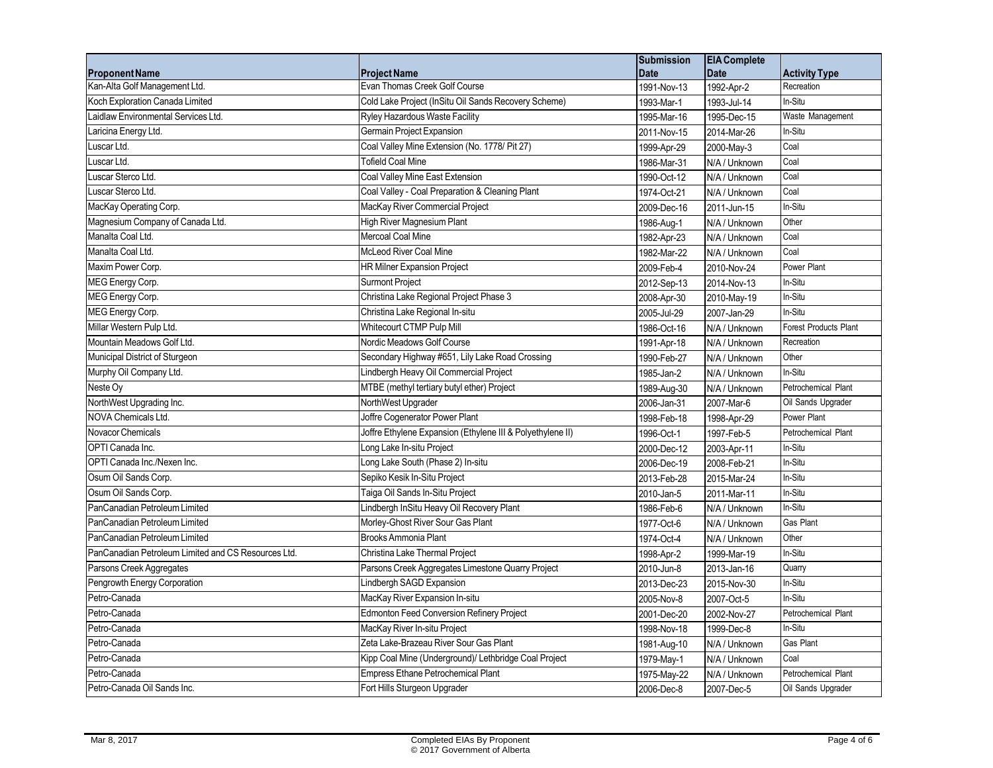|                                                     |                                                            | <b>Submission</b> | <b>EIA Complete</b> |                              |
|-----------------------------------------------------|------------------------------------------------------------|-------------------|---------------------|------------------------------|
| <b>Proponent Name</b>                               | <b>Project Name</b>                                        | <b>Date</b>       | <b>Date</b>         | <b>Activity Type</b>         |
| Kan-Alta Golf Management Ltd.                       | Evan Thomas Creek Golf Course                              | 1991-Nov-13       | 1992-Apr-2          | Recreation                   |
| Koch Exploration Canada Limited                     | Cold Lake Project (InSitu Oil Sands Recovery Scheme)       | 1993-Mar-1        | 1993-Jul-14         | In-Situ                      |
| Laidlaw Environmental Services Ltd.                 | Ryley Hazardous Waste Facility                             | 1995-Mar-16       | 1995-Dec-15         | Waste Management             |
| Laricina Energy Ltd.                                | Germain Project Expansion                                  | 2011-Nov-15       | 2014-Mar-26         | In-Situ                      |
| Luscar Ltd.                                         | Coal Valley Mine Extension (No. 1778/ Pit 27)              | 1999-Apr-29       | 2000-May-3          | Coal                         |
| Luscar Ltd.                                         | <b>Tofield Coal Mine</b>                                   | 1986-Mar-31       | N/A / Unknown       | Coal                         |
| Luscar Sterco Ltd.                                  | Coal Valley Mine East Extension                            | 1990-Oct-12       | N/A / Unknown       | Coal                         |
| Luscar Sterco Ltd.                                  | Coal Valley - Coal Preparation & Cleaning Plant            | 1974-Oct-21       | N/A / Unknown       | Coal                         |
| MacKay Operating Corp.                              | MacKay River Commercial Project                            | 2009-Dec-16       | 2011-Jun-15         | In-Situ                      |
| Magnesium Company of Canada Ltd.                    | High River Magnesium Plant                                 | 1986-Aug-1        | N/A / Unknown       | Other                        |
| Manalta Coal Ltd.                                   | Mercoal Coal Mine                                          | 1982-Apr-23       | N/A / Unknown       | Coal                         |
| Manalta Coal Ltd.                                   | <b>McLeod River Coal Mine</b>                              | 1982-Mar-22       | N/A / Unknown       | Coal                         |
| Maxim Power Corp.                                   | <b>HR Milner Expansion Project</b>                         | 2009-Feb-4        | 2010-Nov-24         | Power Plant                  |
| MEG Energy Corp.                                    | <b>Surmont Project</b>                                     | 2012-Sep-13       | 2014-Nov-13         | In-Situ                      |
| MEG Energy Corp.                                    | Christina Lake Regional Project Phase 3                    | 2008-Apr-30       | 2010-May-19         | In-Situ                      |
| MEG Energy Corp.                                    | Christina Lake Regional In-situ                            | 2005-Jul-29       | 2007-Jan-29         | In-Situ                      |
| Millar Western Pulp Ltd.                            | Whitecourt CTMP Pulp Mill                                  | 1986-Oct-16       | N/A / Unknown       | <b>Forest Products Plant</b> |
| Mountain Meadows Golf Ltd.                          | Nordic Meadows Golf Course                                 | 1991-Apr-18       | N/A / Unknown       | Recreation                   |
| Municipal District of Sturgeon                      | Secondary Highway #651, Lily Lake Road Crossing            | 1990-Feb-27       | N/A / Unknown       | Other                        |
| Murphy Oil Company Ltd.                             | Lindbergh Heavy Oil Commercial Project                     | 1985-Jan-2        | N/A / Unknown       | In-Situ                      |
| Neste Oy                                            | MTBE (methyl tertiary butyl ether) Project                 | 1989-Aug-30       | N/A / Unknown       | Petrochemical Plant          |
| NorthWest Upgrading Inc.                            | NorthWest Upgrader                                         | 2006-Jan-31       | 2007-Mar-6          | Oil Sands Upgrader           |
| NOVA Chemicals Ltd.                                 | Joffre Cogenerator Power Plant                             | 1998-Feb-18       | 1998-Apr-29         | Power Plant                  |
| Novacor Chemicals                                   | Joffre Ethylene Expansion (Ethylene III & Polyethylene II) | 1996-Oct-1        | 1997-Feb-5          | Petrochemical Plant          |
| OPTI Canada Inc.                                    | Long Lake In-situ Project                                  | 2000-Dec-12       | 2003-Apr-11         | In-Situ                      |
| OPTI Canada Inc./Nexen Inc.                         | Long Lake South (Phase 2) In-situ                          | 2006-Dec-19       | 2008-Feb-21         | In-Situ                      |
| Osum Oil Sands Corp.                                | Sepiko Kesik In-Situ Project                               | 2013-Feb-28       | 2015-Mar-24         | In-Situ                      |
| Osum Oil Sands Corp.                                | Taiga Oil Sands In-Situ Project                            | 2010-Jan-5        | 2011-Mar-11         | In-Situ                      |
| PanCanadian Petroleum Limited                       | Lindbergh InSitu Heavy Oil Recovery Plant                  | 1986-Feb-6        | N/A / Unknown       | In-Situ                      |
| PanCanadian Petroleum Limited                       | Morley-Ghost River Sour Gas Plant                          | 1977-Oct-6        | N/A / Unknown       | <b>Gas Plant</b>             |
| PanCanadian Petroleum Limited                       | Brooks Ammonia Plant                                       | 1974-Oct-4        | N/A / Unknown       | Other                        |
| PanCanadian Petroleum Limited and CS Resources Ltd. | Christina Lake Thermal Project                             | 1998-Apr-2        | 1999-Mar-19         | In-Situ                      |
| Parsons Creek Aggregates                            | Parsons Creek Aggregates Limestone Quarry Project          | 2010-Jun-8        | 2013-Jan-16         | Quarry                       |
| Pengrowth Energy Corporation                        | Lindbergh SAGD Expansion                                   | 2013-Dec-23       | 2015-Nov-30         | In-Situ                      |
| Petro-Canada                                        | MacKay River Expansion In-situ                             | 2005-Nov-8        | 2007-Oct-5          | In-Situ                      |
| Petro-Canada                                        | Edmonton Feed Conversion Refinery Project                  | 2001-Dec-20       | 2002-Nov-27         | Petrochemical Plant          |
| Petro-Canada                                        | MacKay River In-situ Project                               | 1998-Nov-18       | 1999-Dec-8          | In-Situ                      |
| Petro-Canada                                        | Zeta Lake-Brazeau River Sour Gas Plant                     | 1981-Aug-10       | N/A / Unknown       | Gas Plant                    |
| Petro-Canada                                        | Kipp Coal Mine (Underground)/ Lethbridge Coal Project      | 1979-May-1        | N/A / Unknown       | Coal                         |
| Petro-Canada                                        | Empress Ethane Petrochemical Plant                         | 1975-May-22       | N/A / Unknown       | Petrochemical Plant          |
| Petro-Canada Oil Sands Inc.                         | Fort Hills Sturgeon Upgrader                               | 2006-Dec-8        | 2007-Dec-5          | Oil Sands Upgrader           |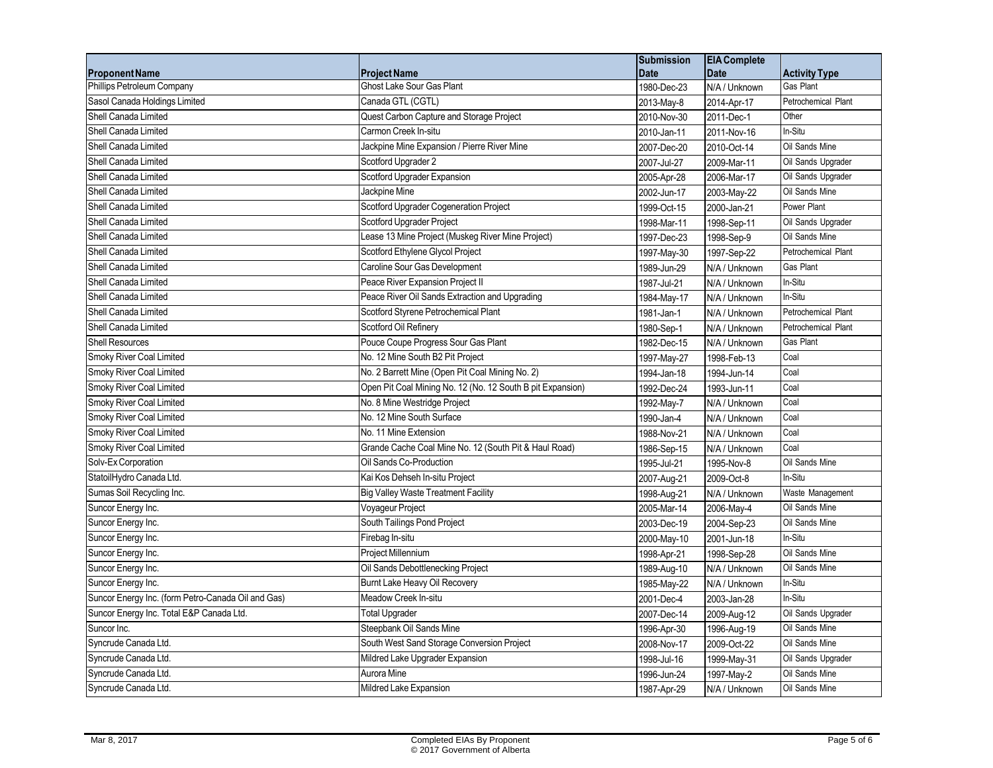|                                                    |                                                            | <b>Submission</b> | <b>EIA Complete</b> |                      |
|----------------------------------------------------|------------------------------------------------------------|-------------------|---------------------|----------------------|
| <b>Proponent Name</b>                              | <b>Project Name</b>                                        | <b>Date</b>       | <b>Date</b>         | <b>Activity Type</b> |
| Phillips Petroleum Company                         | <b>Ghost Lake Sour Gas Plant</b>                           | 1980-Dec-23       | N/A / Unknown       | Gas Plant            |
| Sasol Canada Holdings Limited                      | Canada GTL (CGTL)                                          | 2013-May-8        | 2014-Apr-17         | Petrochemical Plant  |
| Shell Canada Limited                               | Quest Carbon Capture and Storage Project                   | 2010-Nov-30       | 2011-Dec-1          | Other                |
| Shell Canada Limited                               | Carmon Creek In-situ                                       | 2010-Jan-11       | 2011-Nov-16         | In-Situ              |
| Shell Canada Limited                               | Jackpine Mine Expansion / Pierre River Mine                | 2007-Dec-20       | 2010-Oct-14         | Oil Sands Mine       |
| Shell Canada Limited                               | Scotford Upgrader 2                                        | 2007-Jul-27       | 2009-Mar-11         | Oil Sands Upgrader   |
| Shell Canada Limited                               | Scotford Upgrader Expansion                                | 2005-Apr-28       | 2006-Mar-17         | Oil Sands Upgrader   |
| Shell Canada Limited                               | Jackpine Mine                                              | 2002-Jun-17       | 2003-May-22         | Oil Sands Mine       |
| Shell Canada Limited                               | Scotford Upgrader Cogeneration Project                     | 1999-Oct-15       | 2000-Jan-21         | Power Plant          |
| Shell Canada Limited                               | Scotford Upgrader Project                                  | 1998-Mar-11       | 1998-Sep-11         | Oil Sands Upgrader   |
| Shell Canada Limited                               | Lease 13 Mine Project (Muskeg River Mine Project)          | 1997-Dec-23       | 1998-Sep-9          | Oil Sands Mine       |
| Shell Canada Limited                               | Scotford Ethylene Glycol Project                           | 1997-May-30       | 1997-Sep-22         | Petrochemical Plant  |
| Shell Canada Limited                               | Caroline Sour Gas Development                              | 1989-Jun-29       | N/A / Unknown       | Gas Plant            |
| Shell Canada Limited                               | Peace River Expansion Project II                           | 1987-Jul-21       | N/A / Unknown       | In-Situ              |
| Shell Canada Limited                               | Peace River Oil Sands Extraction and Upgrading             | 1984-May-17       | N/A / Unknown       | In-Situ              |
| Shell Canada Limited                               | Scotford Styrene Petrochemical Plant                       | 1981-Jan-1        | N/A / Unknown       | Petrochemical Plant  |
| Shell Canada Limited                               | Scotford Oil Refinery                                      | 1980-Sep-1        | N/A / Unknown       | Petrochemical Plant  |
| Shell Resources                                    | Pouce Coupe Progress Sour Gas Plant                        | 1982-Dec-15       | N/A / Unknown       | Gas Plant            |
| Smoky River Coal Limited                           | No. 12 Mine South B2 Pit Project                           | 1997-May-27       | 1998-Feb-13         | Coal                 |
| Smoky River Coal Limited                           | No. 2 Barrett Mine (Open Pit Coal Mining No. 2)            | 1994-Jan-18       | 1994-Jun-14         | Coal                 |
| Smoky River Coal Limited                           | Open Pit Coal Mining No. 12 (No. 12 South B pit Expansion) | 1992-Dec-24       | 1993-Jun-11         | Coal                 |
| Smoky River Coal Limited                           | No. 8 Mine Westridge Project                               | 1992-May-7        | N/A / Unknown       | Coal                 |
| Smoky River Coal Limited                           | No. 12 Mine South Surface                                  | 1990-Jan-4        | N/A / Unknown       | Coal                 |
| Smoky River Coal Limited                           | No. 11 Mine Extension                                      | 1988-Nov-21       | N/A / Unknown       | Coal                 |
| Smoky River Coal Limited                           | Grande Cache Coal Mine No. 12 (South Pit & Haul Road)      | 1986-Sep-15       | N/A / Unknown       | Coal                 |
| Solv-Ex Corporation                                | Oil Sands Co-Production                                    | 1995-Jul-21       | 1995-Nov-8          | Oil Sands Mine       |
| StatoilHydro Canada Ltd.                           | Kai Kos Dehseh In-situ Project                             | 2007-Aug-21       | 2009-Oct-8          | In-Situ              |
| Sumas Soil Recycling Inc.                          | <b>Big Valley Waste Treatment Facility</b>                 | 1998-Aug-21       | N/A / Unknown       | Waste Management     |
| Suncor Energy Inc.                                 | Voyageur Project                                           | 2005-Mar-14       | 2006-May-4          | Oil Sands Mine       |
| Suncor Energy Inc.                                 | South Tailings Pond Project                                | 2003-Dec-19       | 2004-Sep-23         | Oil Sands Mine       |
| Suncor Energy Inc.                                 | Firebag In-situ                                            | 2000-May-10       | 2001-Jun-18         | In-Situ              |
| Suncor Energy Inc.                                 | Project Millennium                                         | 1998-Apr-21       | 1998-Sep-28         | Oil Sands Mine       |
| Suncor Energy Inc.                                 | Oil Sands Debottlenecking Project                          | 1989-Aug-10       | N/A / Unknown       | Oil Sands Mine       |
| Suncor Energy Inc.                                 | Burnt Lake Heavy Oil Recovery                              | 1985-May-22       | N/A / Unknown       | In-Situ              |
| Suncor Energy Inc. (form Petro-Canada Oil and Gas) | Meadow Creek In-situ                                       | 2001-Dec-4        | 2003-Jan-28         | In-Situ              |
| Suncor Energy Inc. Total E&P Canada Ltd.           | <b>Total Upgrader</b>                                      | 2007-Dec-14       | 2009-Aug-12         | Oil Sands Upgrader   |
| Suncor Inc.                                        | Steepbank Oil Sands Mine                                   | 1996-Apr-30       | 1996-Aug-19         | Oil Sands Mine       |
| Syncrude Canada Ltd.                               | South West Sand Storage Conversion Project                 | 2008-Nov-17       | 2009-Oct-22         | Oil Sands Mine       |
| Syncrude Canada Ltd.                               | Mildred Lake Upgrader Expansion                            | 1998-Jul-16       | 1999-May-31         | Oil Sands Upgrader   |
| Syncrude Canada Ltd.                               | Aurora Mine                                                | 1996-Jun-24       | 1997-May-2          | Oil Sands Mine       |
| Syncrude Canada Ltd.                               | Mildred Lake Expansion                                     | 1987-Apr-29       | N/A / Unknown       | Oil Sands Mine       |